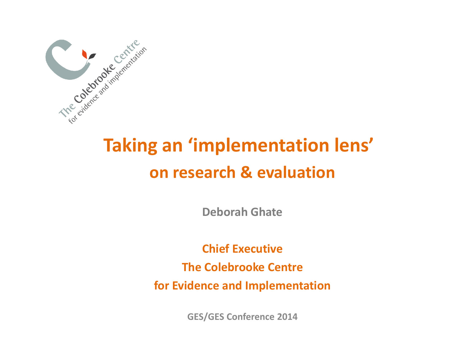

## **Taking an 'implementation lens' on research & evaluation**

**Deborah Ghate**

**Chief Executive The Colebrooke Centre for Evidence and Implementation**

**GES/GES Conference 2014**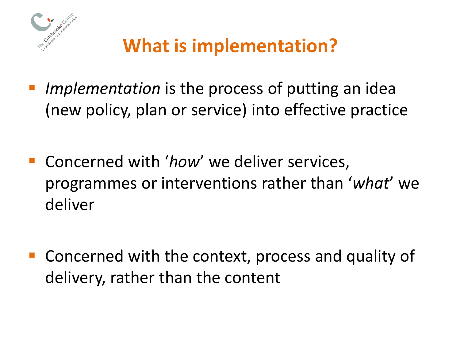

# **What is implementation?**

- *Implementation* is the process of putting an idea (new policy, plan or service) into effective practice
- **Concerned with 'how' we deliver services,** programmes or interventions rather than '*what*' we deliver
- Concerned with the context, process and quality of delivery, rather than the content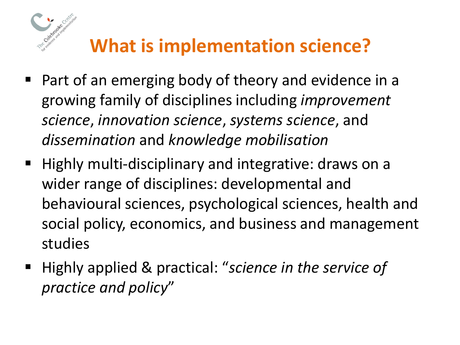

## **What is implementation science?**

- Part of an emerging body of theory and evidence in a growing family of disciplines including *improvement science*, *innovation science*, *systems science*, and *dissemination* and *knowledge mobilisation*
- Highly multi-disciplinary and integrative: draws on a wider range of disciplines: developmental and behavioural sciences, psychological sciences, health and social policy, economics, and business and management studies
- Highly applied & practical: "science in the service of *practice and policy*"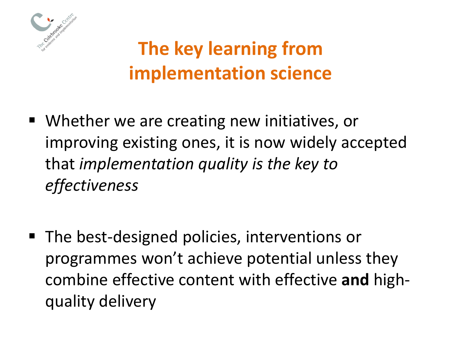

# **The key learning from implementation science**

- Whether we are creating new initiatives, or improving existing ones, it is now widely accepted that *implementation quality is the key to effectiveness*
- The best-designed policies, interventions or programmes won't achieve potential unless they combine effective content with effective **and** highquality delivery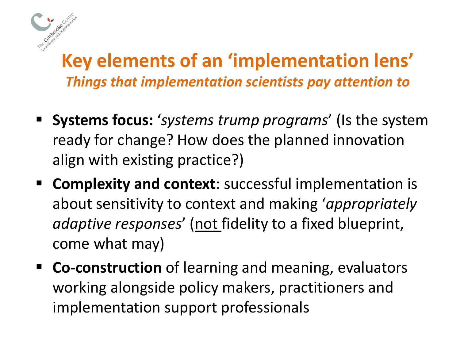#### **Key elements of an 'implementation lens'** *Things that implementation scientists pay attention to*

- **Systems focus:** '*systems trump programs*' (Is the system ready for change? How does the planned innovation align with existing practice?)
- **Complexity and context:** successful implementation is about sensitivity to context and making '*appropriately adaptive responses*' (not fidelity to a fixed blueprint, come what may)
- **Co-construction** of learning and meaning, evaluators working alongside policy makers, practitioners and implementation support professionals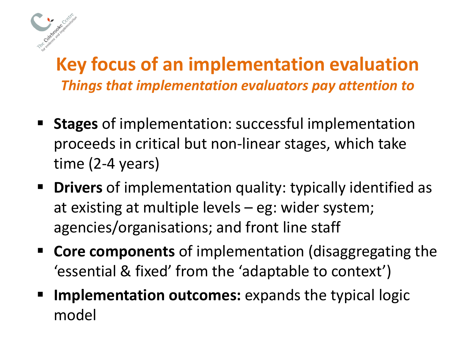

### **Key focus of an implementation evaluation** *Things that implementation evaluators pay attention to*

- **Stages** of implementation: successful implementation proceeds in critical but non-linear stages, which take time (2-4 years)
- **Drivers** of implementation quality: typically identified as at existing at multiple levels – eg: wider system; agencies/organisations; and front line staff
- **Core components** of implementation (disaggregating the 'essential & fixed' from the 'adaptable to context')
- **Implementation outcomes:** expands the typical logic model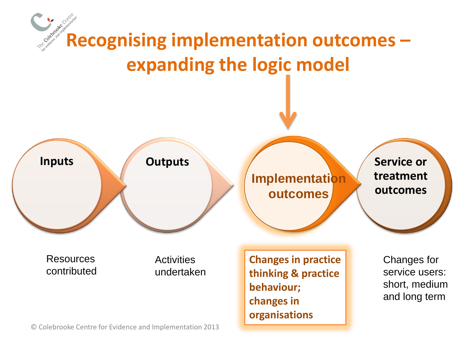

© Colebrooke Centre for Evidence and Implementation 2013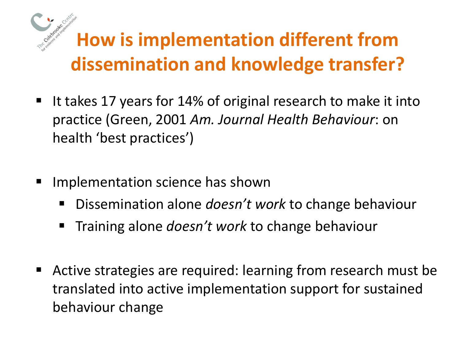# **How is implementation different from dissemination and knowledge transfer?**

- It takes 17 years for 14% of original research to make it into practice (Green, 2001 *Am. Journal Health Behaviour*: on health 'best practices')
- Implementation science has shown
	- Dissemination alone *doesn't work* to change behaviour
	- **Training alone** *doesn't work* **to change behaviour**
- Active strategies are required: learning from research must be translated into active implementation support for sustained behaviour change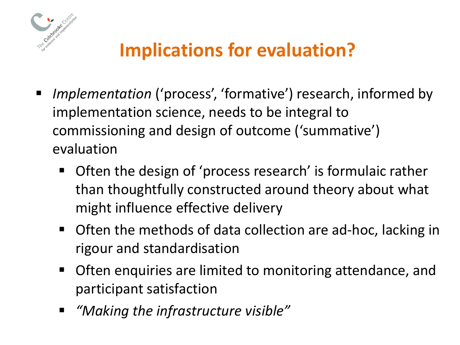

## **Implications for evaluation?**

- *Implementation* ('process', 'formative') research, informed by implementation science, needs to be integral to commissioning and design of outcome ('summative') evaluation
	- Often the design of 'process research' is formulaic rather than thoughtfully constructed around theory about what might influence effective delivery
	- Often the methods of data collection are ad-hoc, lacking in rigour and standardisation
	- **Often enquiries are limited to monitoring attendance, and** participant satisfaction
	- *"Making the infrastructure visible"*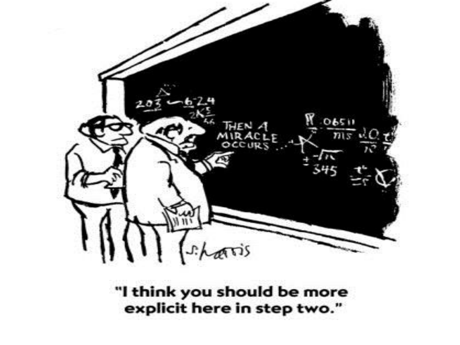

"I think you should be more explicit here in step two."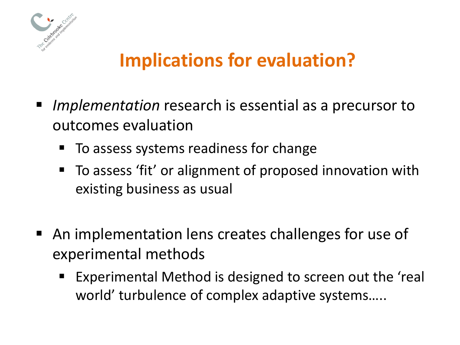

## **Implications for evaluation?**

- *Implementation* research is essential as a precursor to outcomes evaluation
	- To assess systems readiness for change
	- To assess 'fit' or alignment of proposed innovation with existing business as usual
- An implementation lens creates challenges for use of experimental methods
	- Experimental Method is designed to screen out the 'real world' turbulence of complex adaptive systems…..